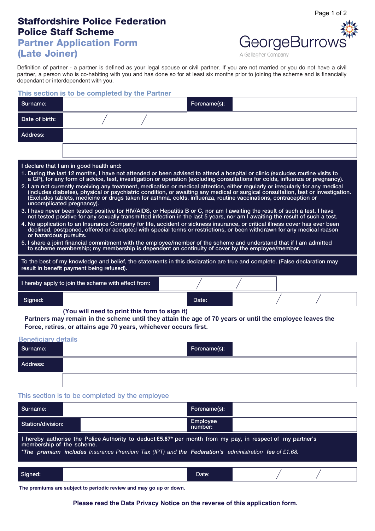# **Staffordshire Police Federation Police Staff Scheme**

## **Partner Application Form (Late Joiner)**



Page 1 of 2

A Gallagher Company

Definition of partner - a partner is defined as your legal spouse or civil partner. If you are not married or you do not have a civil partner, a person who is co-habiting with you and has done so for at least six months prior to joining the scheme and is financially dependant or interdependent with you.

### **This section is to be completed by the Partner**

| Surname:                                                                                                                                                                                                                                                                                                                                                                                                                                                                                                                                                                                                                                                                                                                                                                                                                                                                                                                                                                                                                                                                                                                                                                                                                                                                                                                                                                                                                                                                                                                                                                                                                                                                           |                                                     |  | Forename(s): |  |  |  |
|------------------------------------------------------------------------------------------------------------------------------------------------------------------------------------------------------------------------------------------------------------------------------------------------------------------------------------------------------------------------------------------------------------------------------------------------------------------------------------------------------------------------------------------------------------------------------------------------------------------------------------------------------------------------------------------------------------------------------------------------------------------------------------------------------------------------------------------------------------------------------------------------------------------------------------------------------------------------------------------------------------------------------------------------------------------------------------------------------------------------------------------------------------------------------------------------------------------------------------------------------------------------------------------------------------------------------------------------------------------------------------------------------------------------------------------------------------------------------------------------------------------------------------------------------------------------------------------------------------------------------------------------------------------------------------|-----------------------------------------------------|--|--------------|--|--|--|
| Date of birth:                                                                                                                                                                                                                                                                                                                                                                                                                                                                                                                                                                                                                                                                                                                                                                                                                                                                                                                                                                                                                                                                                                                                                                                                                                                                                                                                                                                                                                                                                                                                                                                                                                                                     |                                                     |  |              |  |  |  |
| Address:                                                                                                                                                                                                                                                                                                                                                                                                                                                                                                                                                                                                                                                                                                                                                                                                                                                                                                                                                                                                                                                                                                                                                                                                                                                                                                                                                                                                                                                                                                                                                                                                                                                                           |                                                     |  |              |  |  |  |
|                                                                                                                                                                                                                                                                                                                                                                                                                                                                                                                                                                                                                                                                                                                                                                                                                                                                                                                                                                                                                                                                                                                                                                                                                                                                                                                                                                                                                                                                                                                                                                                                                                                                                    |                                                     |  |              |  |  |  |
| I declare that I am in good health and:<br>1. During the last 12 months, I have not attended or been advised to attend a hospital or clinic (excludes routine visits to<br>a GP), for any form of advice, test, investigation or operation (excluding consultations for colds, influenza or pregnancy).<br>2. I am not currently receiving any treatment, medication or medical attention, either regularly or irregularly for any medical<br>(includes diabetes), physical or psychiatric condition, or awaiting any medical or surgical consultation, test or investigation.<br>(Excludes tablets, medicine or drugs taken for asthma, colds, influenza, routine vaccinations, contraception or<br>uncomplicated pregnancy).<br>3. I have never been tested positive for HIV/AIDS, or Hepatitis B or C, nor am I awaiting the result of such a test. I have<br>not tested positive for any sexually transmitted infection in the last 5 years, nor am I awaiting the result of such a test.<br>4. No application to an Insurance Company for life, accident or sickness insurance, or critical illness cover has ever been<br>declined, postponed, offered or accepted with special terms or restrictions, or been withdrawn for any medical reason<br>or hazardous pursuits.<br>5. I share a joint financial commitment with the employee/member of the scheme and understand that if I am admitted<br>to scheme membership; my membership is dependent on continuity of cover by the employee/member.<br>To the best of my knowledge and belief, the statements in this declaration are true and complete. (False declaration may<br>result in benefit payment being refused). |                                                     |  |              |  |  |  |
|                                                                                                                                                                                                                                                                                                                                                                                                                                                                                                                                                                                                                                                                                                                                                                                                                                                                                                                                                                                                                                                                                                                                                                                                                                                                                                                                                                                                                                                                                                                                                                                                                                                                                    | I hereby apply to join the scheme with effect from: |  |              |  |  |  |
| Signed:                                                                                                                                                                                                                                                                                                                                                                                                                                                                                                                                                                                                                                                                                                                                                                                                                                                                                                                                                                                                                                                                                                                                                                                                                                                                                                                                                                                                                                                                                                                                                                                                                                                                            |                                                     |  | Date:        |  |  |  |
| (You will need to print this form to sign it)<br>Partners may remain in the scheme until they attain the age of 70 years or until the employee leaves the<br>Force, retires, or attains age 70 years, whichever occurs first.<br><b>Beneficiary details</b>                                                                                                                                                                                                                                                                                                                                                                                                                                                                                                                                                                                                                                                                                                                                                                                                                                                                                                                                                                                                                                                                                                                                                                                                                                                                                                                                                                                                                        |                                                     |  |              |  |  |  |
| Surname:                                                                                                                                                                                                                                                                                                                                                                                                                                                                                                                                                                                                                                                                                                                                                                                                                                                                                                                                                                                                                                                                                                                                                                                                                                                                                                                                                                                                                                                                                                                                                                                                                                                                           |                                                     |  | Forename(s): |  |  |  |
| Address:                                                                                                                                                                                                                                                                                                                                                                                                                                                                                                                                                                                                                                                                                                                                                                                                                                                                                                                                                                                                                                                                                                                                                                                                                                                                                                                                                                                                                                                                                                                                                                                                                                                                           |                                                     |  |              |  |  |  |

#### This section is to be completed by the employee

| Surname:                                                                                                                                                                                                                                                   |  | Forename(s):               |  |  |  |  |
|------------------------------------------------------------------------------------------------------------------------------------------------------------------------------------------------------------------------------------------------------------|--|----------------------------|--|--|--|--|
| Station/division:                                                                                                                                                                                                                                          |  | <b>Employee</b><br>number: |  |  |  |  |
| I hereby authorise the Police Authority to deduct £5.67 <sup>*</sup> per month from my pay, in respect of my partner's<br>membership of the scheme.<br>*The premium includes Insurance Premium Tax (IPT) and the Federation's administration fee of £1.68. |  |                            |  |  |  |  |
| Signed:                                                                                                                                                                                                                                                    |  | Date:                      |  |  |  |  |

**The premiums are subject to periodic review and may go up or down.**

**Please read the Data Privacy Notice on the reverse of this application form.**